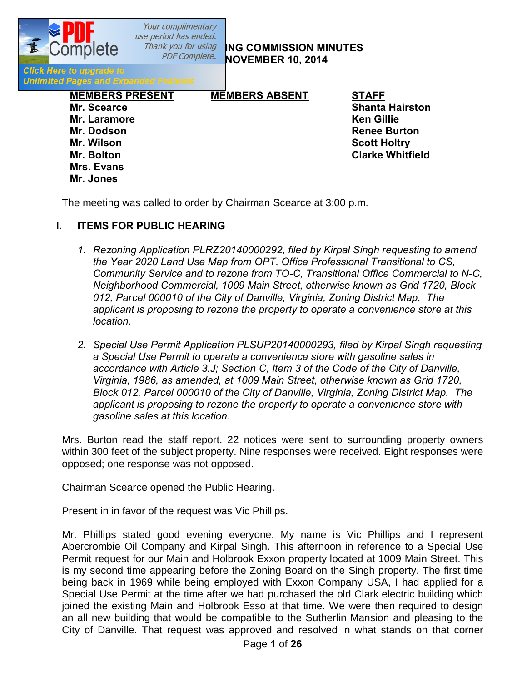

*PDF Complete.* **NG COMMISSION MINUTES NOVEMBER 10, 2014** 

**Click Here to upgrade to Unlimited Pages and Expanded Features** 

> **MEMBERS PRESENT MEMBERS ABSENT STAFF Mr. Scearce Shanta Hairston Mr. Laramore Ken Gillie Mr. Dodson Renee Burton Mr. Wilson Scott Holtry Mr. Bolton Clarke Whitfield Mrs. Evans Mr. Jones**

The meeting was called to order by Chairman Scearce at 3:00 p.m.

## **I. ITEMS FOR PUBLIC HEARING**

- *1. Rezoning Application PLRZ20140000292, filed by Kirpal Singh requesting to amend the Year 2020 Land Use Map from OPT, Office Professional Transitional to CS, Community Service and to rezone from TO-C, Transitional Office Commercial to N-C, Neighborhood Commercial, 1009 Main Street, otherwise known as Grid 1720, Block 012, Parcel 000010 of the City of Danville, Virginia, Zoning District Map. The applicant is proposing to rezone the property to operate a convenience store at this location.*
- *2. Special Use Permit Application PLSUP20140000293, filed by Kirpal Singh requesting a Special Use Permit to operate a convenience store with gasoline sales in accordance with Article 3.J; Section C, Item 3 of the Code of the City of Danville, Virginia, 1986, as amended, at 1009 Main Street, otherwise known as Grid 1720, Block 012, Parcel 000010 of the City of Danville, Virginia, Zoning District Map. The applicant is proposing to rezone the property to operate a convenience store with gasoline sales at this location.*

Mrs. Burton read the staff report. 22 notices were sent to surrounding property owners within 300 feet of the subject property. Nine responses were received. Eight responses were opposed; one response was not opposed.

Chairman Scearce opened the Public Hearing.

Present in in favor of the request was Vic Phillips.

Mr. Phillips stated good evening everyone. My name is Vic Phillips and I represent Abercrombie Oil Company and Kirpal Singh. This afternoon in reference to a Special Use Permit request for our Main and Holbrook Exxon property located at 1009 Main Street. This is my second time appearing before the Zoning Board on the Singh property. The first time being back in 1969 while being employed with Exxon Company USA, I had applied for a Special Use Permit at the time after we had purchased the old Clark electric building which joined the existing Main and Holbrook Esso at that time. We were then required to design an all new building that would be compatible to the Sutherlin Mansion and pleasing to the City of Danville. That request was approved and resolved in what stands on that corner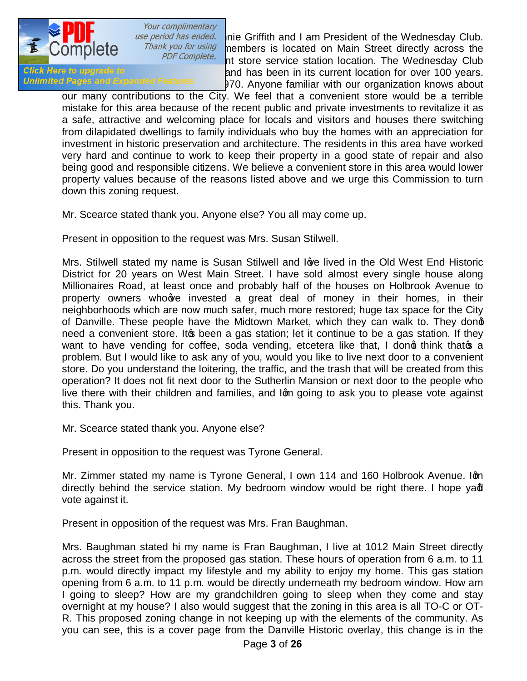

*use period has ended.* nie Griffith and I am President of the Wednesday Club.<br>*Thank you for using* members is located on Main Street directly across the  $\frac{N}{N}$  *you for using* members is located on Main Street directly across the *PDF Complete.* At atoms can use at tion location. The *Mednesday Club* street from the proposed complete. Interestation station location. The Wednesday Club<br>and has been in its current location for over 100 years. Glick Here to upgrade to late to the late the late and has been in its current location for over 100 years.<br>Unlimited Pages and Expanded Features 170, Apyope familiar with our organization knows about 370. Anyone familiar with our organization knows about

our many contributions to the City. We feel that a convenient store would be a terrible mistake for this area because of the recent public and private investments to revitalize it as a safe, attractive and welcoming place for locals and visitors and houses there switching from dilapidated dwellings to family individuals who buy the homes with an appreciation for investment in historic preservation and architecture. The residents in this area have worked very hard and continue to work to keep their property in a good state of repair and also being good and responsible citizens. We believe a convenient store in this area would lower property values because of the reasons listed above and we urge this Commission to turn down this zoning request.

Mr. Scearce stated thank you. Anyone else? You all may come up.

Present in opposition to the request was Mrs. Susan Stilwell.

Mrs. Stilwell stated my name is Susan Stilwell and love lived in the Old West End Historic District for 20 years on West Main Street. I have sold almost every single house along Millionaires Road, at least once and probably half of the houses on Holbrook Avenue to property owners who we invested a great deal of money in their homes, in their neighborhoods which are now much safer, much more restored; huge tax space for the City of Danville. These people have the Midtown Market, which they can walk to. They dond need a convenient store. It to been a gas station; let it continue to be a gas station. If they want to have vending for coffee, soda vending, etcetera like that, I dong think that a problem. But I would like to ask any of you, would you like to live next door to a convenient store. Do you understand the loitering, the traffic, and the trash that will be created from this operation? It does not fit next door to the Sutherlin Mansion or next door to the people who live there with their children and families, and Igm going to ask you to please vote against this. Thank you.

Mr. Scearce stated thank you. Anyone else?

Present in opposition to the request was Tyrone General.

Mr. Zimmer stated my name is Tyrone General, I own 114 and 160 Holbrook Avenue. Iom directly behind the service station. My bedroom window would be right there. I hope yad vote against it.

Present in opposition of the request was Mrs. Fran Baughman.

Mrs. Baughman stated hi my name is Fran Baughman, I live at 1012 Main Street directly across the street from the proposed gas station. These hours of operation from 6 a.m. to 11 p.m. would directly impact my lifestyle and my ability to enjoy my home. This gas station opening from 6 a.m. to 11 p.m. would be directly underneath my bedroom window. How am I going to sleep? How are my grandchildren going to sleep when they come and stay overnight at my house? I also would suggest that the zoning in this area is all TO-C or OT-R. This proposed zoning change in not keeping up with the elements of the community. As you can see, this is a cover page from the Danville Historic overlay, this change is in the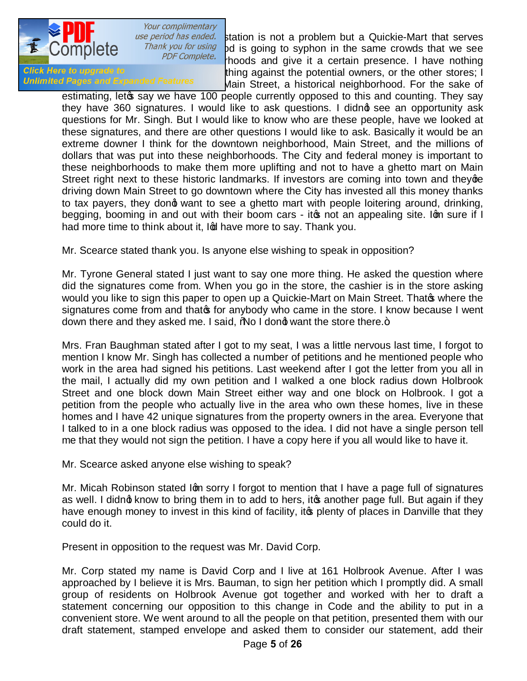

use period has ended. Station is not a problem but a Quickie-Mart that serves<br>Thank you for using Sod is going to synhon in the same crowds that we see The lotter wall got is going to syphon in the same crowds that we see  $PDF$  complete. everywhere. The end of the same in the set of the set of the series in the set of the set of the stores: I have nothing<br>Click Here to upgrade to the stores: I Glick Here to upgrade to deterministic the quinst the potential owners, or the other stores; I have the stores; I<br>Unlimited Pages and Expanded Features of the Street, a bistorical peigbborhood. For the sake of Main Street, a historical neighborhood. For the sake of

estimating, letos say we have 100 people currently opposed to this and counting. They say they have 360 signatures. I would like to ask questions. I didnot see an opportunity ask questions for Mr. Singh. But I would like to know who are these people, have we looked at these signatures, and there are other questions I would like to ask. Basically it would be an extreme downer I think for the downtown neighborhood, Main Street, and the millions of dollars that was put into these neighborhoods. The City and federal money is important to these neighborhoods to make them more uplifting and not to have a ghetto mart on Main Street right next to these historic landmarks. If investors are coming into town and they ge driving down Main Street to go downtown where the City has invested all this money thanks to tax payers, they dong want to see a ghetto mart with people loitering around, drinking, begging, booming in and out with their boom cars - ito not an appealing site. Iom sure if I had more time to think about it, Io have more to say. Thank you.

Mr. Scearce stated thank you. Is anyone else wishing to speak in opposition?

Mr. Tyrone General stated I just want to say one more thing. He asked the question where did the signatures come from. When you go in the store, the cashier is in the store asking would you like to sign this paper to open up a Quickie-Mart on Main Street. Thato where the signatures come from and that of anybody who came in the store. I know because I went down there and they asked me. I said, 'No I dond want the store there.+

Mrs. Fran Baughman stated after I got to my seat, I was a little nervous last time, I forgot to mention I know Mr. Singh has collected a number of petitions and he mentioned people who work in the area had signed his petitions. Last weekend after I got the letter from you all in the mail, I actually did my own petition and I walked a one block radius down Holbrook Street and one block down Main Street either way and one block on Holbrook. I got a petition from the people who actually live in the area who own these homes, live in these homes and I have 42 unique signatures from the property owners in the area. Everyone that I talked to in a one block radius was opposed to the idea. I did not have a single person tell me that they would not sign the petition. I have a copy here if you all would like to have it.

Mr. Scearce asked anyone else wishing to speak?

Mr. Micah Robinson stated Ign sorry I forgot to mention that I have a page full of signatures as well. I didnot know to bring them in to add to hers, it another page full. But again if they have enough money to invest in this kind of facility, it to plenty of places in Danville that they could do it.

Present in opposition to the request was Mr. David Corp.

Mr. Corp stated my name is David Corp and I live at 161 Holbrook Avenue. After I was approached by I believe it is Mrs. Bauman, to sign her petition which I promptly did. A small group of residents on Holbrook Avenue got together and worked with her to draft a statement concerning our opposition to this change in Code and the ability to put in a convenient store. We went around to all the people on that petition, presented them with our draft statement, stamped envelope and asked them to consider our statement, add their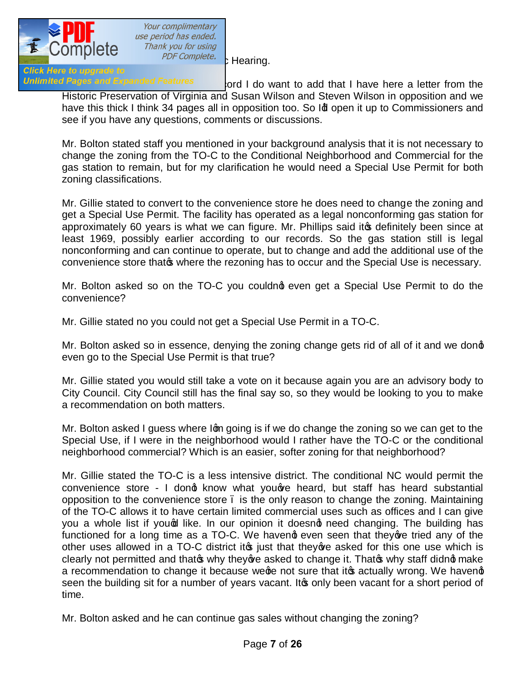

Your complimentary use period has ended.<br>Thank you for using

Unlimited Pages and Expanded Features cord I do want to add that I have here a letter from the Historic Preservation of Virginia and Susan Wilson and Steven Wilson in opposition and we have this thick I think 34 pages all in opposition too. So Id open it up to Commissioners and see if you have any questions, comments or discussions.

Mr. Bolton stated staff you mentioned in your background analysis that it is not necessary to change the zoning from the TO-C to the Conditional Neighborhood and Commercial for the gas station to remain, but for my clarification he would need a Special Use Permit for both zoning classifications.

Mr. Gillie stated to convert to the convenience store he does need to change the zoning and get a Special Use Permit. The facility has operated as a legal nonconforming gas station for approximately 60 years is what we can figure. Mr. Phillips said it to definitely been since at least 1969, possibly earlier according to our records. So the gas station still is legal nonconforming and can continue to operate, but to change and add the additional use of the convenience store that where the rezoning has to occur and the Special Use is necessary.

Mr. Bolton asked so on the TO-C you couldnot even get a Special Use Permit to do the convenience?

Mr. Gillie stated no you could not get a Special Use Permit in a TO-C.

Mr. Bolton asked so in essence, denying the zoning change gets rid of all of it and we dong even go to the Special Use Permit is that true?

Mr. Gillie stated you would still take a vote on it because again you are an advisory body to City Council. City Council still has the final say so, so they would be looking to you to make a recommendation on both matters.

Mr. Bolton asked I guess where Igm going is if we do change the zoning so we can get to the Special Use, if I were in the neighborhood would I rather have the TO-C or the conditional neighborhood commercial? Which is an easier, softer zoning for that neighborhood?

Mr. Gillie stated the TO-C is a less intensive district. The conditional NC would permit the convenience store - I dong know what youge heard, but staff has heard substantial opposition to the convenience store – is the only reason to change the zoning. Maintaining of the TO-C allows it to have certain limited commercial uses such as offices and I can give you a whole list if yound like. In our opinion it doesnot need changing. The building has functioned for a long time as a TO-C. We haveng even seen that they ave tried any of the other uses allowed in a TO-C district it ig just that they we asked for this one use which is clearly not permitted and that of why they a asked to change it. That  $\infty$  why staff didnet make a recommendation to change it because wege not sure that it to actually wrong. We haveng seen the building sit for a number of years vacant. It only been vacant for a short period of time.

Mr. Bolton asked and he can continue gas sales without changing the zoning?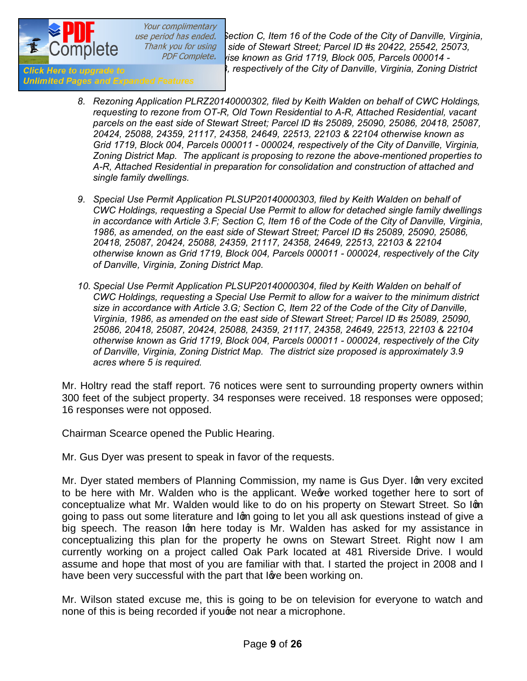*[in accordance with Article 3.F; S](http://www.pdfcomplete.com/cms/hppl/tabid/108/Default.aspx?r=q8b3uige22)ection C, Item 16 of the Code of the City of Danville, Virginia, 1986, as amended, on the west side of Stewart Street; Parcel ID #s 20422, 25542, 25073, 23886 and part of 20421 otherwise known as Grid 1719, Block 005, Parcels 000014 - 000017 and a portion of 000013, respectively of the City of Danville, Virginia, Zoning District* 

- **Unlimited Pages and Expanded Features** 
	- *8. Rezoning Application PLRZ20140000302, filed by Keith Walden on behalf of CWC Holdings, requesting to rezone from OT-R, Old Town Residential to A-R, Attached Residential, vacant parcels on the east side of Stewart Street; Parcel ID #s 25089, 25090, 25086, 20418, 25087, 20424, 25088, 24359, 21117, 24358, 24649, 22513, 22103 & 22104 otherwise known as Grid 1719, Block 004, Parcels 000011 - 000024, respectively of the City of Danville, Virginia, Zoning District Map. The applicant is proposing to rezone the above-mentioned properties to A-R, Attached Residential in preparation for consolidation and construction of attached and single family dwellings.*
	- 9. Special Use Permit Application PLSUP20140000303, filed by Keith Walden on behalf of *CWC Holdings, requesting a Special Use Permit to allow for detached single family dwellings in accordance with Article 3.F; Section C, Item 16 of the Code of the City of Danville, Virginia, 1986, as amended, on the east side of Stewart Street; Parcel ID #s 25089, 25090, 25086, 20418, 25087, 20424, 25088, 24359, 21117, 24358, 24649, 22513, 22103 & 22104 otherwise known as Grid 1719, Block 004, Parcels 000011 - 000024, respectively of the City of Danville, Virginia, Zoning District Map.*
	- *10. Special Use Permit Application PLSUP20140000304, filed by Keith Walden on behalf of CWC Holdings, requesting a Special Use Permit to allow for a waiver to the minimum district size in accordance with Article 3.G; Section C, Item 22 of the Code of the City of Danville, Virginia, 1986, as amended on the east side of Stewart Street; Parcel ID #s 25089, 25090, 25086, 20418, 25087, 20424, 25088, 24359, 21117, 24358, 24649, 22513, 22103 & 22104 otherwise known as Grid 1719, Block 004, Parcels 000011 - 000024, respectively of the City of Danville, Virginia, Zoning District Map. The district size proposed is approximately 3.9 acres where 5 is required.*

Mr. Holtry read the staff report. 76 notices were sent to surrounding property owners within 300 feet of the subject property. 34 responses were received. 18 responses were opposed; 16 responses were not opposed.

Chairman Scearce opened the Public Hearing.

Mr. Gus Dyer was present to speak in favor of the requests.

Mr. Dyer stated members of Planning Commission, my name is Gus Dyer. Iom very excited to be here with Mr. Walden who is the applicant. We we worked together here to sort of conceptualize what Mr. Walden would like to do on his property on Stewart Street. So Ign going to pass out some literature and lom going to let you all ask questions instead of give a big speech. The reason Igm here today is Mr. Walden has asked for my assistance in conceptualizing this plan for the property he owns on Stewart Street. Right now I am currently working on a project called Oak Park located at 481 Riverside Drive. I would assume and hope that most of you are familiar with that. I started the project in 2008 and I have been very successful with the part that love been working on.

Mr. Wilson stated excuse me, this is going to be on television for everyone to watch and none of this is being recorded if youge not near a microphone.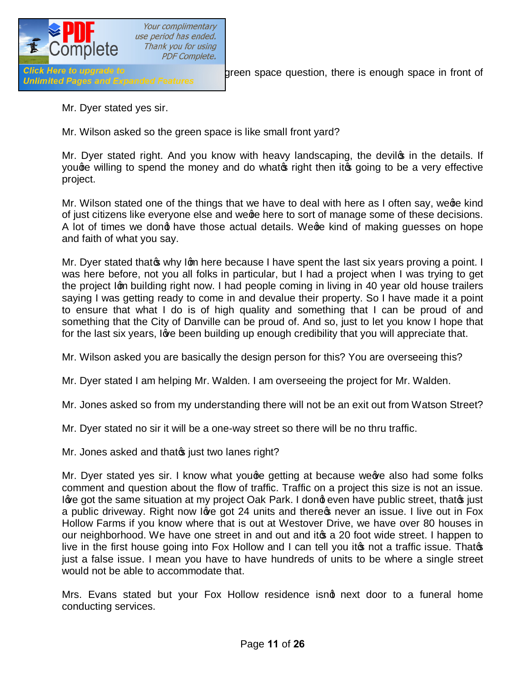

Click Here to upgrade to **Mr. Wilson asked and with Anne's green** space question, there is enough space in front of

Mr. Dyer stated yes sir.

Mr. Wilson asked so the green space is like small front yard?

Mr. Dyer stated right. And you know with heavy landscaping, the devilops in the details. If youge willing to spend the money and do whato right then it going to be a very effective project.

Mr. Wilson stated one of the things that we have to deal with here as I often say, wege kind of just citizens like everyone else and wege here to sort of manage some of these decisions. A lot of times we dong have those actual details. Wege kind of making guesses on hope and faith of what you say.

Mr. Dyer stated that of why Ign here because I have spent the last six years proving a point. I was here before, not you all folks in particular, but I had a project when I was trying to get the project Ign building right now. I had people coming in living in 40 year old house trailers saying I was getting ready to come in and devalue their property. So I have made it a point to ensure that what I do is of high quality and something that I can be proud of and something that the City of Danville can be proud of. And so, just to let you know I hope that for the last six years, love been building up enough credibility that you will appreciate that.

Mr. Wilson asked you are basically the design person for this? You are overseeing this?

Mr. Dyer stated I am helping Mr. Walden. I am overseeing the project for Mr. Walden.

Mr. Jones asked so from my understanding there will not be an exit out from Watson Street?

Mr. Dyer stated no sir it will be a one-way street so there will be no thru traffic.

Mr. Jones asked and that in just two lanes right?

Mr. Dyer stated yes sir. I know what youge getting at because weeve also had some folks comment and question about the flow of traffic. Traffic on a project this size is not an issue. I've got the same situation at my project Oak Park. I dong even have public street, that it just a public driveway. Right now love got 24 units and there pnever an issue. I live out in Fox Hollow Farms if you know where that is out at Westover Drive, we have over 80 houses in our neighborhood. We have one street in and out and it a 20 foot wide street. I happen to live in the first house going into Fox Hollow and I can tell you it  $\infty$  not a traffic issue. That $\infty$ just a false issue. I mean you have to have hundreds of units to be where a single street would not be able to accommodate that.

Mrs. Evans stated but your Fox Hollow residence isnot next door to a funeral home conducting services.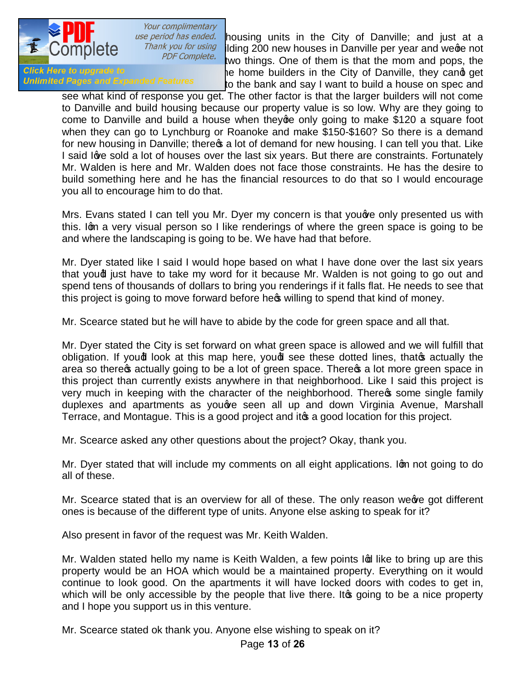

use period has ended. housing units in the City of Danville; and just at a<br>Thank you for using jiding 200 new houses in Danville per vear and were not The you for using iding 200 new houses in Danville per year and we are not performance that the more not performance that even close to the complete. It wo things. One of them is that the mom and pops, the<br>Click Here to upgrade to the candidation of the City of Danville, they candidate Click Here to upgrade to early the home builders in the City of Danville, they cand get<br>Unlimited Pages and Expanded Features of the honk and say I want to build a bouse on spec and to the bank and say I want to build a house on spec and

see what kind of response you get. The other factor is that the larger builders will not come to Danville and build housing because our property value is so low. Why are they going to come to Danville and build a house when they ge only going to make \$120 a square foot when they can go to Lynchburg or Roanoke and make \$150-\$160? So there is a demand for new housing in Danville; there  $\infty$  a lot of demand for new housing. I can tell you that. Like I said love sold a lot of houses over the last six years. But there are constraints. Fortunately Mr. Walden is here and Mr. Walden does not face those constraints. He has the desire to build something here and he has the financial resources to do that so I would encourage you all to encourage him to do that.

Mrs. Evans stated I can tell you Mr. Dyer my concern is that you ave only presented us with this. Ign a very visual person so I like renderings of where the green space is going to be and where the landscaping is going to be. We have had that before.

Mr. Dyer stated like I said I would hope based on what I have done over the last six years that youd just have to take my word for it because Mr. Walden is not going to go out and spend tens of thousands of dollars to bring you renderings if it falls flat. He needs to see that this project is going to move forward before here willing to spend that kind of money.

Mr. Scearce stated but he will have to abide by the code for green space and all that.

Mr. Dyer stated the City is set forward on what green space is allowed and we will fulfill that obligation. If youd look at this map here, youd see these dotted lines, that os actually the area so there of actually going to be a lot of green space. There of a lot more green space in this project than currently exists anywhere in that neighborhood. Like I said this project is very much in keeping with the character of the neighborhood. There is some single family duplexes and apartments as you ove seen all up and down Virginia Avenue, Marshall Terrace, and Montague. This is a good project and its a good location for this project.

Mr. Scearce asked any other questions about the project? Okay, thank you.

Mr. Dyer stated that will include my comments on all eight applications. Ign not going to do all of these.

Mr. Scearce stated that is an overview for all of these. The only reason weeve got different ones is because of the different type of units. Anyone else asking to speak for it?

Also present in favor of the request was Mr. Keith Walden.

Mr. Walden stated hello my name is Keith Walden, a few points In like to bring up are this property would be an HOA which would be a maintained property. Everything on it would continue to look good. On the apartments it will have locked doors with codes to get in, which will be only accessible by the people that live there. It going to be a nice property and I hope you support us in this venture.

Mr. Scearce stated ok thank you. Anyone else wishing to speak on it?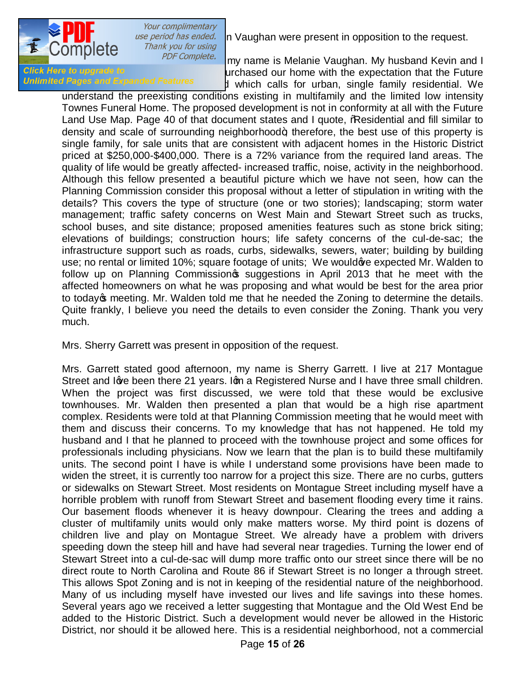

*use period has ended.* In Vaughan were present in opposition to the request.<br>Thank you for using

Museum Complete. The state government of the state government of the state government of the state government client my name is Melanie Vaughan. My husband Kevin and I Client Here to upgrade to Click Here to upgrade to use of the Street Market Market. We purchased our home with the expectation that the Future<br>Unlimited Pages and Expanded Features I which calls for urban, single family residential. We

understand the preexisting conditions existing in multifamily and the limited low intensity Townes Funeral Home. The proposed development is not in conformity at all with the Future Land Use Map. Page 40 of that document states and I quote, 'Residential and fill similar to density and scale of surrounding neighborhood $\pm$ ; therefore, the best use of this property is single family, for sale units that are consistent with adjacent homes in the Historic District priced at \$250,000-\$400,000. There is a 72% variance from the required land areas. The quality of life would be greatly affected- increased traffic, noise, activity in the neighborhood. Although this fellow presented a beautiful picture which we have not seen, how can the Planning Commission consider this proposal without a letter of stipulation in writing with the details? This covers the type of structure (one or two stories); landscaping; storm water management; traffic safety concerns on West Main and Stewart Street such as trucks, school buses, and site distance; proposed amenities features such as stone brick siting; elevations of buildings; construction hours; life safety concerns of the cul-de-sac; the infrastructure support such as roads, curbs, sidewalks, sewers, water; building by building use; no rental or limited 10%; square footage of units; We would ye expected Mr. Walden to follow up on Planning Commission<sub>®</sub> suggestions in April 2013 that he meet with the affected homeowners on what he was proposing and what would be best for the area prior to today op meeting. Mr. Walden told me that he needed the Zoning to determine the details. Quite frankly, I believe you need the details to even consider the Zoning. Thank you very much.

Mrs. Sherry Garrett was present in opposition of the request.

Mrs. Garrett stated good afternoon, my name is Sherry Garrett. I live at 217 Montague Street and Igye been there 21 years. Ign a Registered Nurse and I have three small children. When the project was first discussed, we were told that these would be exclusive townhouses. Mr. Walden then presented a plan that would be a high rise apartment complex. Residents were told at that Planning Commission meeting that he would meet with them and discuss their concerns. To my knowledge that has not happened. He told my husband and I that he planned to proceed with the townhouse project and some offices for professionals including physicians. Now we learn that the plan is to build these multifamily units. The second point I have is while I understand some provisions have been made to widen the street, it is currently too narrow for a project this size. There are no curbs, gutters or sidewalks on Stewart Street. Most residents on Montague Street including myself have a horrible problem with runoff from Stewart Street and basement flooding every time it rains. Our basement floods whenever it is heavy downpour. Clearing the trees and adding a cluster of multifamily units would only make matters worse. My third point is dozens of children live and play on Montague Street. We already have a problem with drivers speeding down the steep hill and have had several near tragedies. Turning the lower end of Stewart Street into a cul-de-sac will dump more traffic onto our street since there will be no direct route to North Carolina and Route 86 if Stewart Street is no longer a through street. This allows Spot Zoning and is not in keeping of the residential nature of the neighborhood. Many of us including myself have invested our lives and life savings into these homes. Several years ago we received a letter suggesting that Montague and the Old West End be added to the Historic District. Such a development would never be allowed in the Historic District, nor should it be allowed here. This is a residential neighborhood, not a commercial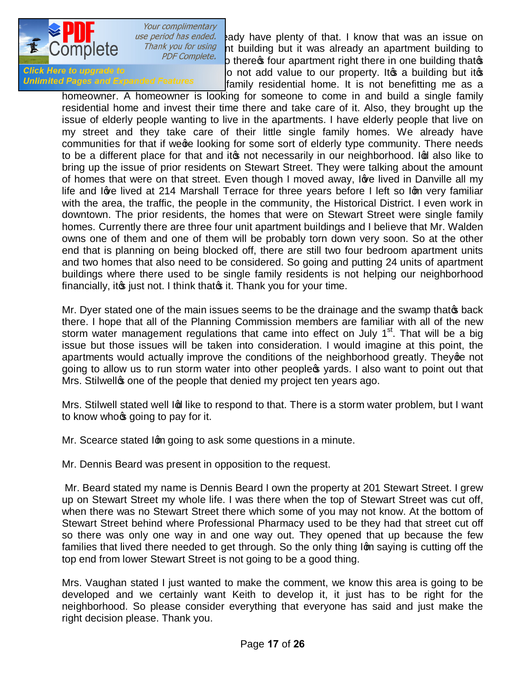

ase period has ended. Bady have plenty of that. I know that was an issue on<br>Thank you for using nt building but it was already an anartment building to *Me you for using* in the building but it was already an apartment building to purpose complete. believe there in one building that the interest of the there's official and value to our property. It is a building that it it is a building but it is Click Here to upgrade to dominate in the approximation of add value to our property. It is a building but it is<br>Unlimited Pages and Expanded Features of family residential bome. It is not benefitting me as a family residential home. It is not benefitting me as a

homeowner. A homeowner is looking for someone to come in and build a single family residential home and invest their time there and take care of it. Also, they brought up the issue of elderly people wanting to live in the apartments. I have elderly people that live on my street and they take care of their little single family homes. We already have communities for that if wege looking for some sort of elderly type community. There needs to be a different place for that and it to not necessarily in our neighborhood. In also like to bring up the issue of prior residents on Stewart Street. They were talking about the amount of homes that were on that street. Even though I moved away, love lived in Danville all my life and love lived at 214 Marshall Terrace for three years before I left so Ign very familiar with the area, the traffic, the people in the community, the Historical District. I even work in downtown. The prior residents, the homes that were on Stewart Street were single family homes. Currently there are three four unit apartment buildings and I believe that Mr. Walden owns one of them and one of them will be probably torn down very soon. So at the other end that is planning on being blocked off, there are still two four bedroom apartment units and two homes that also need to be considered. So going and putting 24 units of apartment buildings where there used to be single family residents is not helping our neighborhood financially, it giust not. I think that it. Thank you for your time.

Mr. Dyer stated one of the main issues seems to be the drainage and the swamp that os back there. I hope that all of the Planning Commission members are familiar with all of the new storm water management regulations that came into effect on July  $1<sup>st</sup>$ . That will be a big issue but those issues will be taken into consideration. I would imagine at this point, the apartments would actually improve the conditions of the neighborhood greatly. They ge not going to allow us to run storm water into other people  $\infty$  yards. I also want to point out that Mrs. Stilwellg one of the people that denied my project ten years ago.

Mrs. Stilwell stated well Ind like to respond to that. There is a storm water problem, but I want to know whore going to pay for it.

Mr. Scearce stated Igm going to ask some questions in a minute.

Mr. Dennis Beard was present in opposition to the request.

Mr. Beard stated my name is Dennis Beard I own the property at 201 Stewart Street. I grew up on Stewart Street my whole life. I was there when the top of Stewart Street was cut off, when there was no Stewart Street there which some of you may not know. At the bottom of Stewart Street behind where Professional Pharmacy used to be they had that street cut off so there was only one way in and one way out. They opened that up because the few families that lived there needed to get through. So the only thing Iom saying is cutting off the top end from lower Stewart Street is not going to be a good thing.

Mrs. Vaughan stated I just wanted to make the comment, we know this area is going to be developed and we certainly want Keith to develop it, it just has to be right for the neighborhood. So please consider everything that everyone has said and just make the right decision please. Thank you.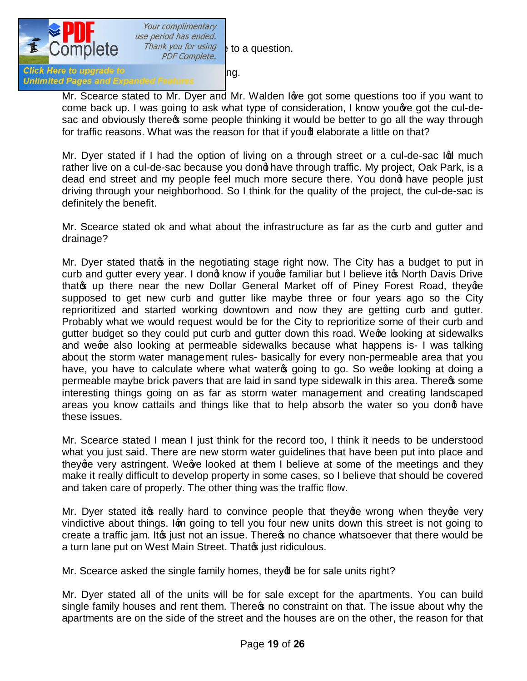

Your complimentary use period has ended. Thank you for using  $\frac{1}{2}$  to a question.

## Click Here to upgrade to<br>Unlimited Pages and Expanded Features

Mr. Scearce stated to Mr. Dyer and Mr. Walden Ige got some questions too if you want to come back up. I was going to ask what type of consideration, I know you are got the cul-desac and obviously there of some people thinking it would be better to go all the way through for traffic reasons. What was the reason for that if yound elaborate a little on that?

Mr. Dyer stated if I had the option of living on a through street or a cul-de-sac Ind much rather live on a cul-de-sac because you dong have through traffic. My project, Oak Park, is a dead end street and my people feel much more secure there. You dong have people just driving through your neighborhood. So I think for the quality of the project, the cul-de-sac is definitely the benefit.

Mr. Scearce stated ok and what about the infrastructure as far as the curb and gutter and drainage?

Mr. Dyer stated that of in the negotiating stage right now. The City has a budget to put in curb and gutter every year. I dong know if youge familiar but I believe ito North Davis Drive that op there near the new Dollar General Market off of Piney Forest Road, they  $\alpha$ supposed to get new curb and gutter like maybe three or four years ago so the City reprioritized and started working downtown and now they are getting curb and gutter. Probably what we would request would be for the City to reprioritize some of their curb and gutter budget so they could put curb and gutter down this road. Wege looking at sidewalks and wege also looking at permeable sidewalks because what happens is- I was talking about the storm water management rules- basically for every non-permeable area that you have, you have to calculate where what waters going to go. So we ge looking at doing a permeable maybe brick pavers that are laid in sand type sidewalk in this area. There is some interesting things going on as far as storm water management and creating landscaped areas you know cattails and things like that to help absorb the water so you dong have these issues.

Mr. Scearce stated I mean I just think for the record too, I think it needs to be understood what you just said. There are new storm water guidelines that have been put into place and they ge very astringent. We we looked at them I believe at some of the meetings and they make it really difficult to develop property in some cases, so I believe that should be covered and taken care of properly. The other thing was the traffic flow.

Mr. Dyer stated it is really hard to convince people that they ge wrong when they ge very vindictive about things. Iom going to tell you four new units down this street is not going to create a traffic jam. It to just not an issue. There to no chance whatsoever that there would be a turn lane put on West Main Street. That in just ridiculous.

Mr. Scearce asked the single family homes, they of be for sale units right?

Mr. Dyer stated all of the units will be for sale except for the apartments. You can build single family houses and rent them. There to no constraint on that. The issue about why the apartments are on the side of the street and the houses are on the other, the reason for that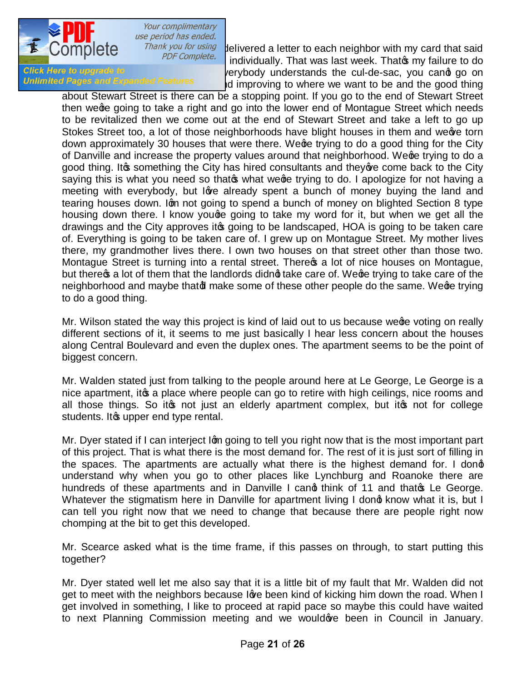

Your complimentary use period has ended.

Thank you for using delivered a letter to each neighbor with my card that said<br>PDF Complete. individually That was lest wask That my failure to do. individually. That was last week. That is my failure to do Click Here to upgrade to eventually environmentally understands the cul-de-sac, you cand go on<br>Unlimited Pages and Expanded Features and improving to where we want to be and the good thing id improving to where we want to be and the good thing

about Stewart Street is there can be a stopping point. If you go to the end of Stewart Street then we ge going to take a right and go into the lower end of Montague Street which needs to be revitalized then we come out at the end of Stewart Street and take a left to go up Stokes Street too, a lot of those neighborhoods have blight houses in them and weeve torn down approximately 30 houses that were there. Wege trying to do a good thing for the City of Danville and increase the property values around that neighborhood. We ge trying to do a good thing. It is something the City has hired consultants and they are come back to the City saying this is what you need so that what we ge trying to do. I apologize for not having a meeting with everybody, but love already spent a bunch of money buying the land and tearing houses down. Ign not going to spend a bunch of money on blighted Section 8 type housing down there. I know youge going to take my word for it, but when we get all the drawings and the City approves it going to be landscaped, HOA is going to be taken care of. Everything is going to be taken care of. I grew up on Montague Street. My mother lives there, my grandmother lives there. I own two houses on that street other than those two. Montague Street is turning into a rental street. There **s** a lot of nice houses on Montague, but there a lot of them that the landlords didnot take care of. We ge trying to take care of the neighborhood and maybe thatd make some of these other people do the same. We ge trying to do a good thing.

Mr. Wilson stated the way this project is kind of laid out to us because wege voting on really different sections of it, it seems to me just basically I hear less concern about the houses along Central Boulevard and even the duplex ones. The apartment seems to be the point of biggest concern.

Mr. Walden stated just from talking to the people around here at Le George, Le George is a nice apartment, it a place where people can go to retire with high ceilings, nice rooms and all those things. So it ps not just an elderly apartment complex, but it ps not for college students. It we upper end type rental.

Mr. Dyer stated if I can interject Ign going to tell you right now that is the most important part of this project. That is what there is the most demand for. The rest of it is just sort of filling in the spaces. The apartments are actually what there is the highest demand for. I dong understand why when you go to other places like Lynchburg and Roanoke there are hundreds of these apartments and in Danville I cand think of 11 and that the George. Whatever the stigmatism here in Danville for apartment living I dong know what it is, but I can tell you right now that we need to change that because there are people right now chomping at the bit to get this developed.

Mr. Scearce asked what is the time frame, if this passes on through, to start putting this together?

Mr. Dyer stated well let me also say that it is a little bit of my fault that Mr. Walden did not get to meet with the neighbors because love been kind of kicking him down the road. When I get involved in something, I like to proceed at rapid pace so maybe this could have waited to next Planning Commission meeting and we wouldove been in Council in January.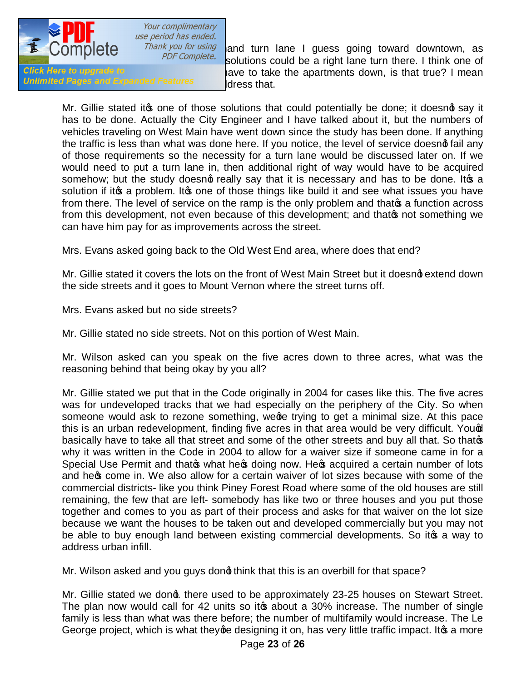

Your complimentary use period has ended.

Unlimited Pages and Expanded Features but all diress that.

Thank you for using and turn lane I guess going toward downtown, as por complete. solutions could be a right lane turn there. I think one of Click Here to upgrade to supers said that you have to take the apartments down, is that true? I mean

Mr. Gillie stated it to one of those solutions that could potentially be done; it doesnot say it has to be done. Actually the City Engineer and I have talked about it, but the numbers of vehicles traveling on West Main have went down since the study has been done. If anything the traffic is less than what was done here. If you notice, the level of service doesnot fail any of those requirements so the necessity for a turn lane would be discussed later on. If we would need to put a turn lane in, then additional right of way would have to be acquired somehow; but the study doesnot really say that it is necessary and has to be done. Itos a solution if it to a problem. It to one of those things like build it and see what issues you have from there. The level of service on the ramp is the only problem and that  $\phi$  a function across from this development, not even because of this development; and that on t something we can have him pay for as improvements across the street.

Mrs. Evans asked going back to the Old West End area, where does that end?

Mr. Gillie stated it covers the lots on the front of West Main Street but it doesnot extend down the side streets and it goes to Mount Vernon where the street turns off.

Mrs. Evans asked but no side streets?

Mr. Gillie stated no side streets. Not on this portion of West Main.

Mr. Wilson asked can you speak on the five acres down to three acres, what was the reasoning behind that being okay by you all?

Mr. Gillie stated we put that in the Code originally in 2004 for cases like this. The five acres was for undeveloped tracks that we had especially on the periphery of the City. So when someone would ask to rezone something, wege trying to get a minimal size. At this pace this is an urban redevelopment, finding five acres in that area would be very difficult. Yough basically have to take all that street and some of the other streets and buy all that. So thatos why it was written in the Code in 2004 to allow for a waiver size if someone came in for a Special Use Permit and that that the st doing now. He st acquired a certain number of lots and he to come in. We also allow for a certain waiver of lot sizes because with some of the commercial districts- like you think Piney Forest Road where some of the old houses are still remaining, the few that are left- somebody has like two or three houses and you put those together and comes to you as part of their process and asks for that waiver on the lot size because we want the houses to be taken out and developed commercially but you may not be able to buy enough land between existing commercial developments. So it to a way to address urban infill.

Mr. Wilson asked and you guys dong think that this is an overbill for that space?

Mr. Gillie stated we dong. there used to be approximately 23-25 houses on Stewart Street. The plan now would call for 42 units so it to about a 30% increase. The number of single family is less than what was there before; the number of multifamily would increase. The Le George project, which is what they ge designing it on, has very little traffic impact. It os a more